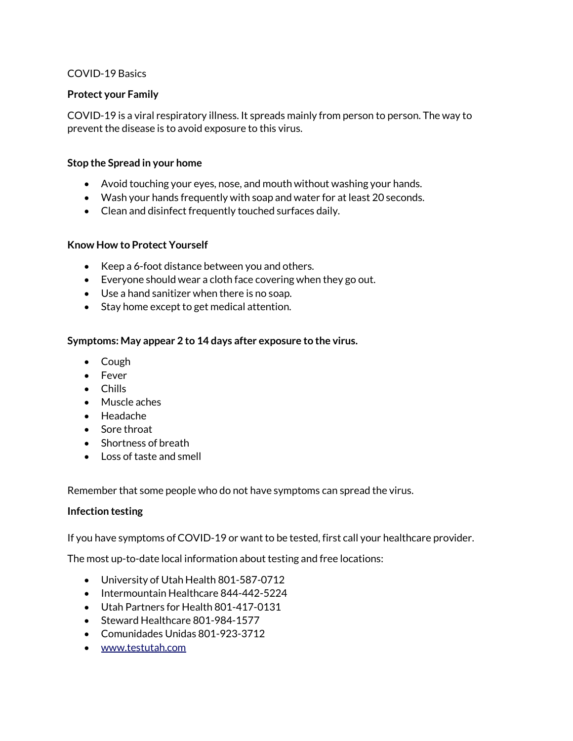### COVID-19 Basics

## **Protect your Family**

COVID-19 is a viral respiratory illness. It spreads mainly from person to person. The way to prevent the disease is to avoid exposure to this virus.

### **Stop the Spread in your home**

- Avoid touching your eyes, nose, and mouth without washing your hands.
- Wash your hands frequently with soap and water for at least 20 seconds.
- Clean and disinfect frequently touched surfaces daily.

## **Know How to Protect Yourself**

- Keep a 6-foot distance between you and others.
- Everyone should wear a cloth face covering when they go out.
- Use a hand sanitizer when there is no soap.
- Stay home except to get medical attention.

## **Symptoms: May appear 2 to 14 days after exposure to the virus.**

- Cough
- Fever
- Chills
- Muscle aches
- Headache
- Sore throat
- Shortness of breath
- Loss of taste and smell

Remember that some people who do not have symptoms can spread the virus.

### **Infection testing**

If you have symptoms of COVID-19 or want to be tested, first call your healthcare provider.

The most up-to-date local information about testing and free locations:

- University of Utah Health 801-587-0712
- Intermountain Healthcare 844-442-5224
- Utah Partners for Health 801-417-0131
- Steward Healthcare 801-984-1577
- Comunidades Unidas 801-923-3712
- [www.testutah.com](http://www.testutah.com/)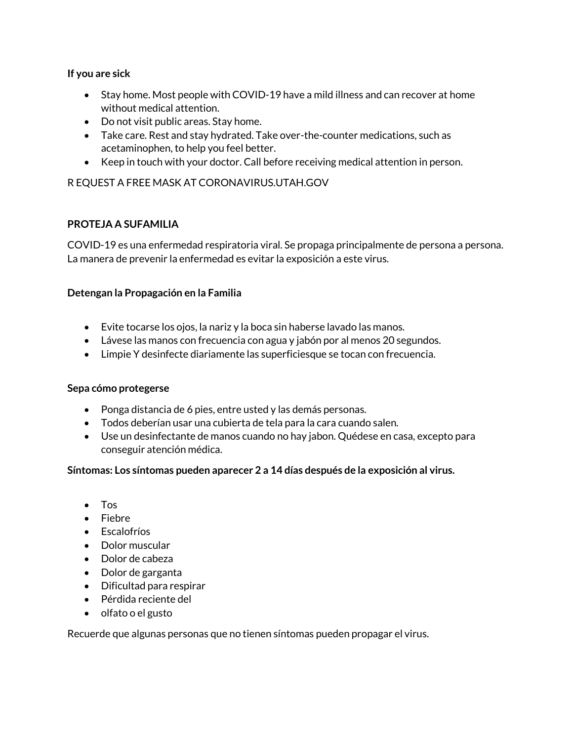## **If you are sick**

- Stay home. Most people with COVID-19 have a mild illness and can recover at home without medical attention.
- Do not visit public areas. Stay home.
- Take care. Rest and stay hydrated. Take over-the-counter medications, such as acetaminophen, to help you feel better.
- Keep in touch with your doctor. Call before receiving medical attention in person.

# R EQUEST A FREE MASK AT CORONAVIRUS.UTAH.GOV

## **PROTEJA A SUFAMILIA**

COVID-19 es una enfermedad respiratoria viral. Se propaga principalmente de persona a persona. La manera de prevenir la enfermedad es evitar la exposición a este virus.

## **Detengan la Propagación en la Familia**

- Evite tocarse los ojos, la nariz y la boca sin haberse lavado las manos.
- Lávese las manos con frecuencia con agua y jabón por al menos 20 segundos.
- Limpie Y desinfecte diariamente las superficiesque se tocan con frecuencia.

### **Sepa cómo protegerse**

- Ponga distancia de 6 pies, entre usted y las demás personas.
- Todos deberían usar una cubierta de tela para la cara cuando salen.
- Use un desinfectante de manos cuando no hay jabon. Quédese en casa, excepto para conseguir atención médica.

### **Síntomas: Los síntomas pueden aparecer 2 a 14 días después de la exposición al virus.**

- Tos
- Fiebre
- Escalofríos
- Dolor muscular
- Dolor de cabeza
- Dolor de garganta
- Dificultad para respirar
- Pérdida reciente del
- olfato o el gusto

Recuerde que algunas personas que no tienen síntomas pueden propagar el virus.